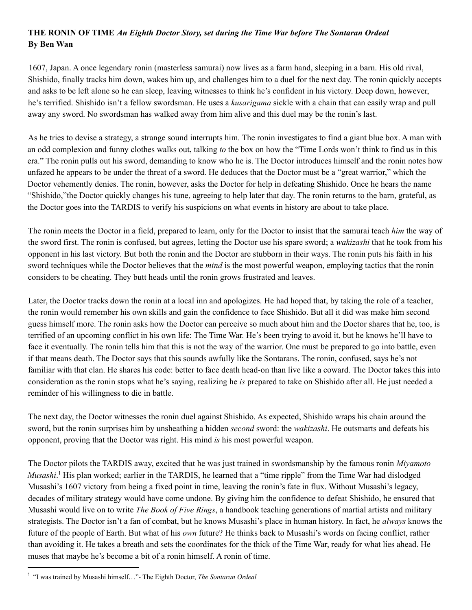## **THE RONIN OF TIME** *An Eighth Doctor Story, set during the Time War before The Sontaran Ordeal* **By Ben Wan**

1607, Japan. A once legendary ronin (masterless samurai) now lives as a farm hand, sleeping in a barn. His old rival, Shishido, finally tracks him down, wakes him up, and challenges him to a duel for the next day. The ronin quickly accepts and asks to be left alone so he can sleep, leaving witnesses to think he's confident in his victory. Deep down, however, he's terrified. Shishido isn't a fellow swordsman. He uses a *kusarigama* sickle with a chain that can easily wrap and pull away any sword. No swordsman has walked away from him alive and this duel may be the ronin's last.

As he tries to devise a strategy, a strange sound interrupts him. The ronin investigates to find a giant blue box. A man with an odd complexion and funny clothes walks out, talking *to* the box on how the "Time Lords won't think to find us in this era." The ronin pulls out his sword, demanding to know who he is. The Doctor introduces himself and the ronin notes how unfazed he appears to be under the threat of a sword. He deduces that the Doctor must be a "great warrior," which the Doctor vehemently denies. The ronin, however, asks the Doctor for help in defeating Shishido. Once he hears the name "Shishido,"the Doctor quickly changes his tune, agreeing to help later that day. The ronin returns to the barn, grateful, as the Doctor goes into the TARDIS to verify his suspicions on what events in history are about to take place.

The ronin meets the Doctor in a field, prepared to learn, only for the Doctor to insist that the samurai teach *him* the way of the sword first. The ronin is confused, but agrees, letting the Doctor use his spare sword; a *wakizashi* that he took from his opponent in his last victory. But both the ronin and the Doctor are stubborn in their ways. The ronin puts his faith in his sword techniques while the Doctor believes that the *mind* is the most powerful weapon, employing tactics that the ronin considers to be cheating. They butt heads until the ronin grows frustrated and leaves.

Later, the Doctor tracks down the ronin at a local inn and apologizes. He had hoped that, by taking the role of a teacher, the ronin would remember his own skills and gain the confidence to face Shishido. But all it did was make him second guess himself more. The ronin asks how the Doctor can perceive so much about him and the Doctor shares that he, too, is terrified of an upcoming conflict in his own life: The Time War. He's been trying to avoid it, but he knows he'll have to face it eventually. The ronin tells him that this is not the way of the warrior. One must be prepared to go into battle, even if that means death. The Doctor says that this sounds awfully like the Sontarans. The ronin, confused, says he's not familiar with that clan. He shares his code: better to face death head-on than live like a coward. The Doctor takes this into consideration as the ronin stops what he's saying, realizing he *is* prepared to take on Shishido after all. He just needed a reminder of his willingness to die in battle.

The next day, the Doctor witnesses the ronin duel against Shishido. As expected, Shishido wraps his chain around the sword, but the ronin surprises him by unsheathing a hidden *second* sword: the *wakizashi*. He outsmarts and defeats his opponent, proving that the Doctor was right. His mind *is* his most powerful weapon.

The Doctor pilots the TARDIS away, excited that he was just trained in swordsmanship by the famous ronin *Miyamoto Musashi*.<sup>1</sup> His plan worked; earlier in the TARDIS, he learned that a "time ripple" from the Time War had dislodged Musashi's 1607 victory from being a fixed point in time, leaving the ronin's fate in flux. Without Musashi's legacy, decades of military strategy would have come undone. By giving him the confidence to defeat Shishido, he ensured that Musashi would live on to write *The Book of Five Rings*, a handbook teaching generations of martial artists and military strategists. The Doctor isn't a fan of combat, but he knows Musashi's place in human history. In fact, he *always* knows the future of the people of Earth. But what of his *own* future? He thinks back to Musashi's words on facing conflict, rather than avoiding it. He takes a breath and sets the coordinates for the thick of the Time War, ready for what lies ahead. He muses that maybe he's become a bit of a ronin himself. A ronin of time.

<sup>1</sup> "I was trained by Musashi himself…"- The Eighth Doctor, *The Sontaran Ordeal*